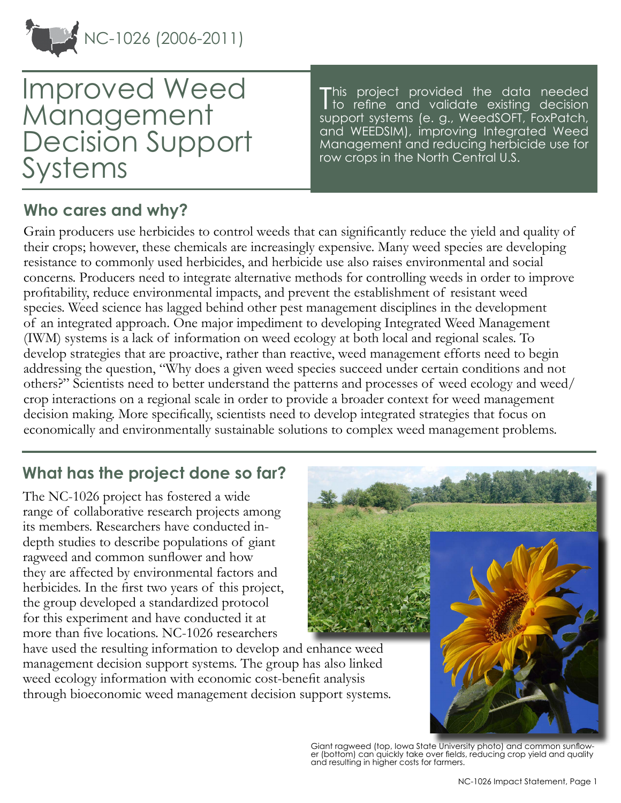

Improved Weed Management Decision Support Systems

This project provided the data needed<br>Tto refine and validate existing decision to refine and validate existing decision support systems (e. g., WeedSOFT, FoxPatch, and WEEDSIM), improving Integrated Weed Management and reducing herbicide use for row crops in the North Central U.S.

# **Who cares and why?**

Grain producers use herbicides to control weeds that can significantly reduce the yield and quality of their crops; however, these chemicals are increasingly expensive. Many weed species are developing resistance to commonly used herbicides, and herbicide use also raises environmental and social concerns. Producers need to integrate alternative methods for controlling weeds in order to improve profitability, reduce environmental impacts, and prevent the establishment of resistant weed species. Weed science has lagged behind other pest management disciplines in the development of an integrated approach. One major impediment to developing Integrated Weed Management (IWM) systems is a lack of information on weed ecology at both local and regional scales. To develop strategies that are proactive, rather than reactive, weed management efforts need to begin addressing the question, "Why does a given weed species succeed under certain conditions and not others?" Scientists need to better understand the patterns and processes of weed ecology and weed/ crop interactions on a regional scale in order to provide a broader context for weed management decision making. More specifically, scientists need to develop integrated strategies that focus on economically and environmentally sustainable solutions to complex weed management problems.

# **What has the project done so far?**

The NC-1026 project has fostered a wide range of collaborative research projects among its members. Researchers have conducted indepth studies to describe populations of giant ragweed and common sunflower and how they are affected by environmental factors and herbicides. In the first two years of this project, the group developed a standardized protocol for this experiment and have conducted it at more than five locations. NC-1026 researchers

have used the resulting information to develop and enhance weed management decision support systems. The group has also linked weed ecology information with economic cost-benefit analysis through bioeconomic weed management decision support systems.



Giant ragweed (top, Iowa State University photo) and common sunflower (bottom) can quickly take over fields, reducing crop yield and quality and resulting in higher costs for farmers.